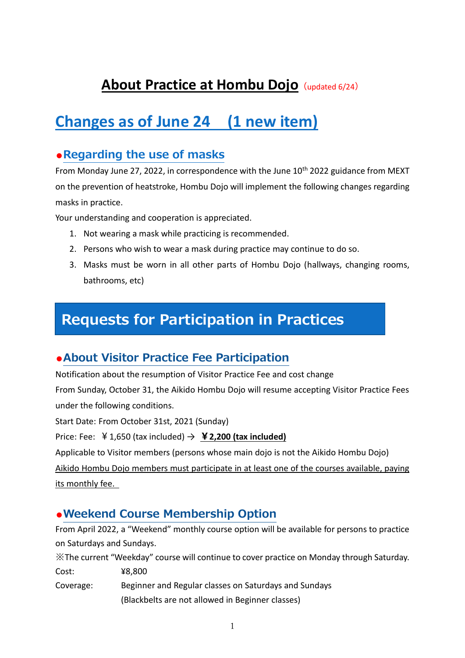# **About Practice at Hombu Dojo** (updated 6/24)

# **Changes as of June 24 (1 new item)**

## **●Regarding the use of masks**

From Monday June 27, 2022, in correspondence with the June  $10<sup>th</sup>$  2022 guidance from MEXT on the prevention of heatstroke, Hombu Dojo will implement the following changes regarding masks in practice.

Your understanding and cooperation is appreciated.

- 1. Not wearing a mask while practicing is recommended.
- 2. Persons who wish to wear a mask during practice may continue to do so.
- 3. Masks must be worn in all other parts of Hombu Dojo (hallways, changing rooms, bathrooms, etc)

# **Requests for Participation in Practices**

## **●About Visitor Practice Fee Participation**

Notification about the resumption of Visitor Practice Fee and cost change

From Sunday, October 31, the Aikido Hombu Dojo will resume accepting Visitor Practice Fees under the following conditions.

Start Date: From October 31st, 2021 (Sunday)

Price: Fee:  $\angle$  4.650 (tax included)  $\rightarrow$  **¥2,200 (tax included)** 

Applicable to Visitor members (persons whose main dojo is not the Aikido Hombu Dojo)

Aikido Hombu Dojo members must participate in at least one of the courses available, paying its monthly fee.

## **●Weekend Course Membership Option**

From April 2022, a "Weekend" monthly course option will be available for persons to practice on Saturdays and Sundays.

※The current "Weekday" course will continue to cover practice on Monday through Saturday.

- Cost: ¥8,800
- Coverage: Beginner and Regular classes on Saturdays and Sundays (Blackbelts are not allowed in Beginner classes)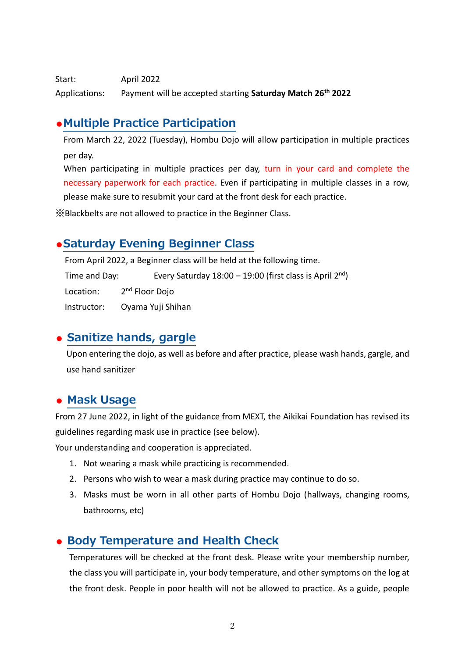Start: April 2022 Applications: Payment will be accepted starting **Saturday Match 26th 2022**

## **●Multiple Practice Participation**

From March 22, 2022 (Tuesday), Hombu Dojo will allow participation in multiple practices per day.

When participating in multiple practices per day, turn in your card and complete the necessary paperwork for each practice. Even if participating in multiple classes in a row, please make sure to resubmit your card at the front desk for each practice.

※Blackbelts are not allowed to practice in the Beginner Class.

### **●Saturday Evening Beginner Class**

From April 2022, a Beginner class will be held at the following time.

Time and Day: Every Saturday  $18:00 - 19:00$  (first class is April 2<sup>nd</sup>) Location: 2<sup>nd</sup> Floor Dojo Instructor: Oyama Yuji Shihan

## **● Sanitize hands, gargle**

Upon entering the dojo, as well as before and after practice, please wash hands, gargle, and use hand sanitizer

### **● Mask Usage**

From 27 June 2022, in light of the guidance from MEXT, the Aikikai Foundation has revised its guidelines regarding mask use in practice (see below).

Your understanding and cooperation is appreciated.

- 1. Not wearing a mask while practicing is recommended.
- 2. Persons who wish to wear a mask during practice may continue to do so.
- 3. Masks must be worn in all other parts of Hombu Dojo (hallways, changing rooms, bathrooms, etc)

### **● Body Temperature and Health Check**

Temperatures will be checked at the front desk. Please write your membership number, the class you will participate in, your body temperature, and other symptoms on the log at the front desk. People in poor health will not be allowed to practice. As a guide, people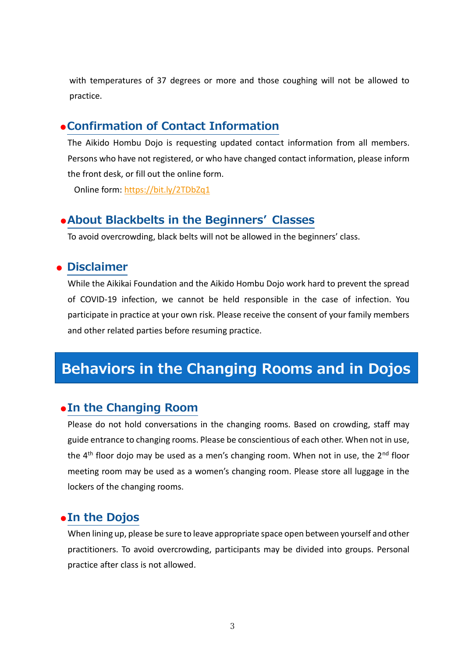with temperatures of 37 degrees or more and those coughing will not be allowed to practice.

#### **●Confirmation of Contact Information**

The Aikido Hombu Dojo is requesting updated contact information from all members. Persons who have not registered, or who have changed contact information, please inform the front desk, or fill out the online form.

Online form:<https://bit.ly/2TDbZq1>

#### **●About Blackbelts in the Beginners' Classes**

To avoid overcrowding, black belts will not be allowed in the beginners' class.

#### **● Disclaimer**

While the Aikikai Foundation and the Aikido Hombu Dojo work hard to prevent the spread of COVID-19 infection, we cannot be held responsible in the case of infection. You participate in practice at your own risk. Please receive the consent of your family members and other related parties before resuming practice.

## **Behaviors in the Changing Rooms and in Dojos**

#### **●In the Changing Room**

Please do not hold conversations in the changing rooms. Based on crowding, staff may guide entrance to changing rooms. Please be conscientious of each other. When not in use, the  $4<sup>th</sup>$  floor dojo may be used as a men's changing room. When not in use, the  $2<sup>nd</sup>$  floor meeting room may be used as a women's changing room. Please store all luggage in the lockers of the changing rooms.

#### **●In the Dojos**

When lining up, please be sure to leave appropriate space open between yourself and other practitioners. To avoid overcrowding, participants may be divided into groups. Personal practice after class is not allowed.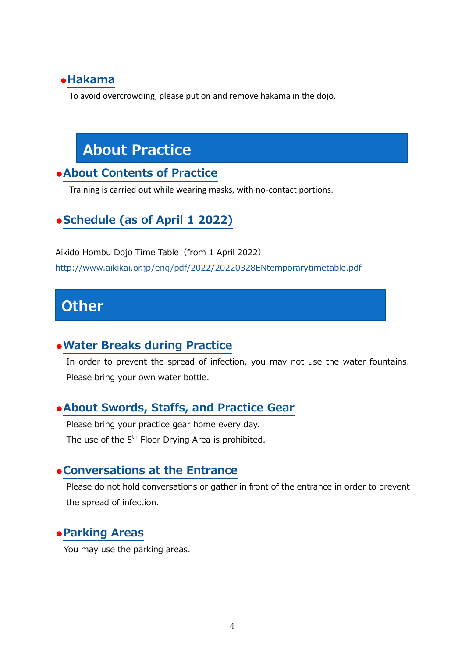#### **●Hakama**

To avoid overcrowding, please put on and remove hakama in the dojo.

# **About Practice**

#### **●About Contents of Practice**

Training is carried out while wearing masks, with no-contact portions.

## **●Schedule (as of April 1 2022)**

Aikido Hombu Dojo Time Table (from 1 April 2022) http://www.aikikai.or.jp/eng/pdf/2022/20220328ENtemporarytimetable.pdf

## **Other**

#### **●Water Breaks during Practice**

In order to prevent the spread of infection, you may not use the water fountains. Please bring your own water bottle.

#### **●About Swords, Staffs, and Practice Gear**

Please bring your practice gear home every day. The use of the  $5<sup>th</sup>$  Floor Drying Area is prohibited.

#### **●Conversations at the Entrance**

Please do not hold conversations or gather in front of the entrance in order to prevent the spread of infection.

#### **●Parking Areas**

You may use the parking areas.